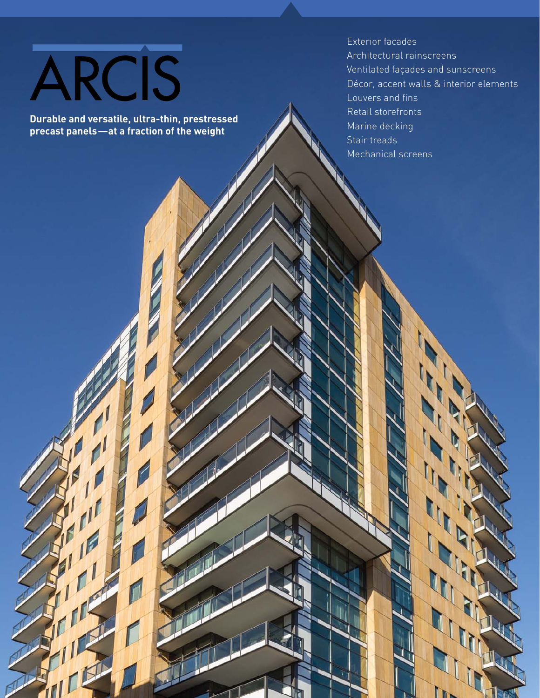# ARCIS

**Durable and versatile, ultra-thin, prestressed Durable and versatile, ultra-thin, prestressed precast panels—at a fraction of the weight**

Exterior facades Exterior facades Architectural rainscreens Architectural rainscreens Ventilated façades and sunscreens Ventilated façades and sunscreens Décor, accent walls & interior elements Décor, accent walls & interior elements Louvers and fins Louvers and fins Retail storefronts Retail storefronts Marine decking Marine decking Stair treads Stair treads Mechanical screens Mechanical screens

 $\boldsymbol{\varPi}$ 

**INTERNATIONAL PROPERTY**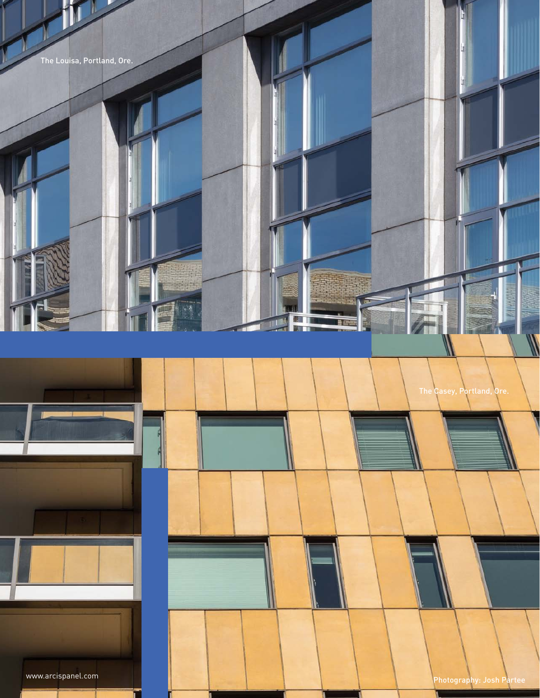

u

 $-\frac{1}{2}$ 

蠌

www.arcispanel.com **Photography: Josh Partee** 

The Casey, Portland, Ore.

T

Ш

u

Ч

u

Щ

41

一

T

rТ

QI II

mπ

**Baren**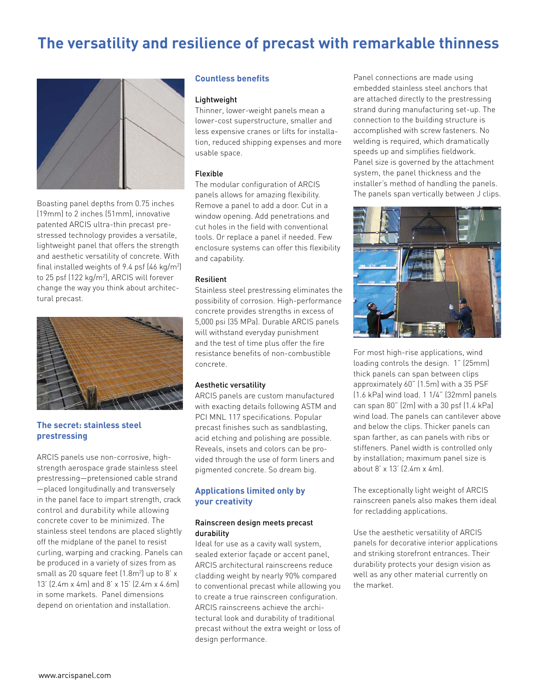## **The versatility and resilience of precast with remarkable thinness**



Boasting panel depths from 0.75 inches (19mm) to 2 inches (51mm), innovative patented ARCIS ultra-thin precast prestressed technology provides a versatile, lightweight panel that offers the strength and aesthetic versatility of concrete. With final installed weights of 9.4 psf  $(46 \text{ kg/m}^2)$ to 25 psf (122 kg/m2 ), ARCIS will forever change the way you think about architectural precast.



#### **The secret: stainless steel prestressing**

ARCIS panels use non-corrosive, highstrength aerospace grade stainless steel prestressing—pretensioned cable strand —placed longitudinally and transversely in the panel face to impart strength, crack control and durability while allowing concrete cover to be minimized. The stainless steel tendons are placed slightly off the midplane of the panel to resist curling, warping and cracking. Panels can be produced in a variety of sizes from as small as 20 square feet  $(1.8m^2)$  up to 8' x 13' (2.4m x 4m) and 8' x 15' (2.4m x 4.6m) in some markets. Panel dimensions depend on orientation and installation.

#### **Countless benefits**

#### Lightweight

Thinner, lower-weight panels mean a lower-cost superstructure, smaller and less expensive cranes or lifts for installation, reduced shipping expenses and more usable space.

#### Flexible

The modular configuration of ARCIS panels allows for amazing flexibility. Remove a panel to add a door. Cut in a window opening. Add penetrations and cut holes in the field with conventional tools. Or replace a panel if needed. Few enclosure systems can offer this flexibility and capability.

#### Resilient

Stainless steel prestressing eliminates the possibility of corrosion. High-performance concrete provides strengths in excess of 5,000 psi (35 MPa). Durable ARCIS panels will withstand everyday punishment and the test of time plus offer the fire resistance benefits of non-combustible concrete.

#### Aesthetic versatility

ARCIS panels are custom manufactured with exacting details following ASTM and PCI MNL 117 specifications. Popular precast finishes such as sandblasting, acid etching and polishing are possible. Reveals, insets and colors can be provided through the use of form liners and pigmented concrete. So dream big.

#### **Applications limited only by your creativity**

#### Rainscreen design meets precast durability

Ideal for use as a cavity wall system, sealed exterior façade or accent panel, ARCIS architectural rainscreens reduce cladding weight by nearly 90% compared to conventional precast while allowing you to create a true rainscreen configuration. ARCIS rainscreens achieve the architectural look and durability of traditional precast without the extra weight or loss of design performance.

Panel connections are made using embedded stainless steel anchors that are attached directly to the prestressing strand during manufacturing set-up. The connection to the building structure is accomplished with screw fasteners. No welding is required, which dramatically speeds up and simplifies fieldwork. Panel size is governed by the attachment system, the panel thickness and the installer's method of handling the panels. The panels span vertically between J clips.



For most high-rise applications, wind loading controls the design. 1" (25mm) thick panels can span between clips approximately 60" (1.5m) with a 35 PSF (1.6 kPa) wind load. 1 1/4" (32mm) panels can span 80" (2m) with a 30 psf (1.4 kPa) wind load. The panels can cantilever above and below the clips. Thicker panels can span farther, as can panels with ribs or stiffeners. Panel width is controlled only by installation; maximum panel size is about 8' x 13' (2.4m x 4m).

The exceptionally light weight of ARCIS rainscreen panels also makes them ideal for recladding applications.

Use the aesthetic versatility of ARCIS panels for decorative interior applications and striking storefront entrances. Their durability protects your design vision as well as any other material currently on the market.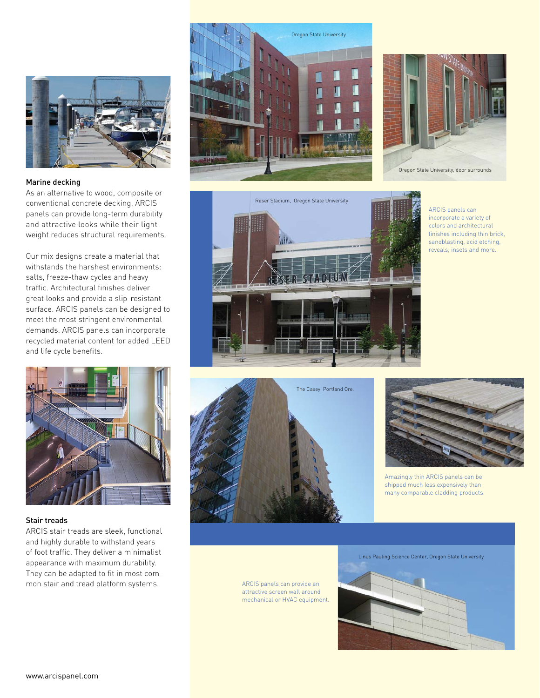

#### Marine decking

As an alternative to wood, composite or conventional concrete decking, ARCIS panels can provide long-term durability and attractive looks while their light weight reduces structural requirements.

Our mix designs create a material that withstands the harshest environments: salts, freeze-thaw cycles and heavy traffic. Architectural finishes deliver great looks and provide a slip-resistant surface. ARCIS panels can be designed to meet the most stringent environmental demands. ARCIS panels can incorporate recycled material content for added LEED and life cycle benefits.



#### Stair treads

ARCIS stair treads are sleek, functional and highly durable to withstand years of foot traffic. They deliver a minimalist appearance with maximum durability. They can be adapted to fit in most common stair and tread platform systems.







ARCIS panels can incorporate a variety of colors and architectural finishes including thin brick, sandblasting, acid etching, reveals, insets and more.





Amazingly thin ARCIS panels can be shipped much less expensively than many comparable cladding products.

ARCIS panels can provide an attractive screen wall around mechanical or HVAC equipment.

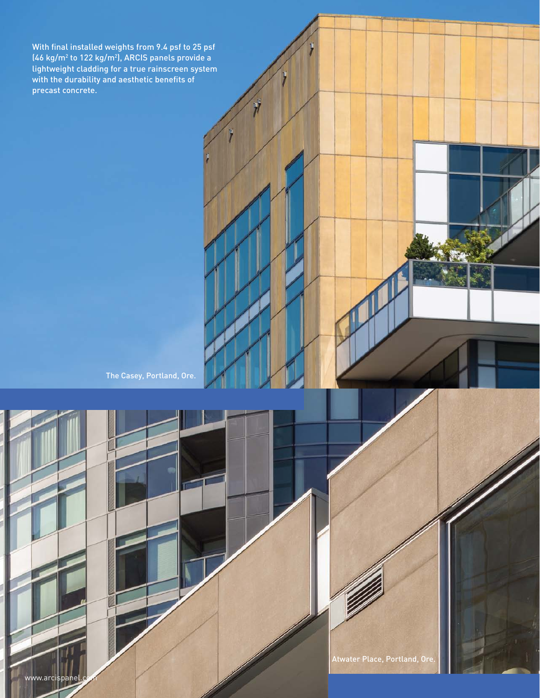With final installed weights from 9.4 psf to 25 psf  $(46 \text{ kg/m}^2 \text{ to } 122 \text{ kg/m}^2)$ , ARCIS panels provide a lightweight cladding for a true rainscreen system with the durability and aesthetic benefits of precast concrete.

The Casey, Portland, Ore.